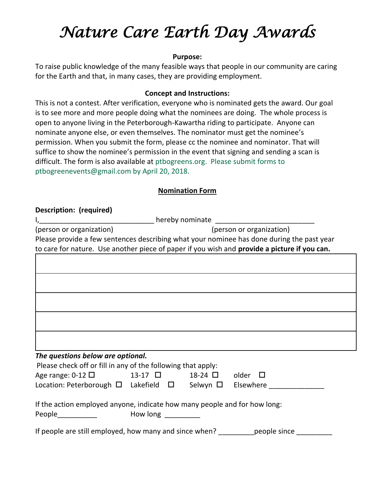# *Nature Care Earth Day Awards*

#### **Purpose:**

To raise public knowledge of the many feasible ways that people in our community are caring for the Earth and that, in many cases, they are providing employment.

### **Concept and Instructions:**

This is not a contest. After verification, everyone who is nominated gets the award. Our goal is to see more and more people doing what the nominees are doing. The whole process is open to anyone living in the Peterborough-Kawartha riding to participate. Anyone can nominate anyone else, or even themselves. The nominator must get the nominee's permission. When you submit the form, please cc the nominee and nominator. That will suffice to show the nominee's permission in the event that signing and sending a scan is difficult. The form is also available at ptbogreens.org. Please submit forms to ptbogreenevents@gmail.com by April 20, 2018.

## **Nomination Form**

#### **Description: (required)**

|                                                                                              | hereby nominate                                                                           |  |  |  |
|----------------------------------------------------------------------------------------------|-------------------------------------------------------------------------------------------|--|--|--|
| (person or organization)                                                                     | (person or organization)                                                                  |  |  |  |
|                                                                                              | Please provide a few sentences describing what your nominee has done during the past year |  |  |  |
| to care for nature. Use another piece of paper if you wish and provide a picture if you can. |                                                                                           |  |  |  |
|                                                                                              |                                                                                           |  |  |  |
|                                                                                              |                                                                                           |  |  |  |
|                                                                                              |                                                                                           |  |  |  |
|                                                                                              |                                                                                           |  |  |  |
|                                                                                              |                                                                                           |  |  |  |
|                                                                                              |                                                                                           |  |  |  |
|                                                                                              |                                                                                           |  |  |  |
|                                                                                              |                                                                                           |  |  |  |
|                                                                                              |                                                                                           |  |  |  |
|                                                                                              |                                                                                           |  |  |  |
| The questions below are optional.                                                            |                                                                                           |  |  |  |
| Please check off or fill in any of the following that apply:                                 |                                                                                           |  |  |  |
| Age range: $0-12$ $\Box$<br>13-17 $\Box$                                                     | $18-24$ $\Box$<br>older                                                                   |  |  |  |
| Location: Peterborough $\Box$ Lakefield $\Box$                                               | Selwyn $\Box$<br>Elsewhere                                                                |  |  |  |

If the action employed anyone, indicate how many people and for how long:

| People | How long |
|--------|----------|
|--------|----------|

If people are still employed, how many and since when? endopted since